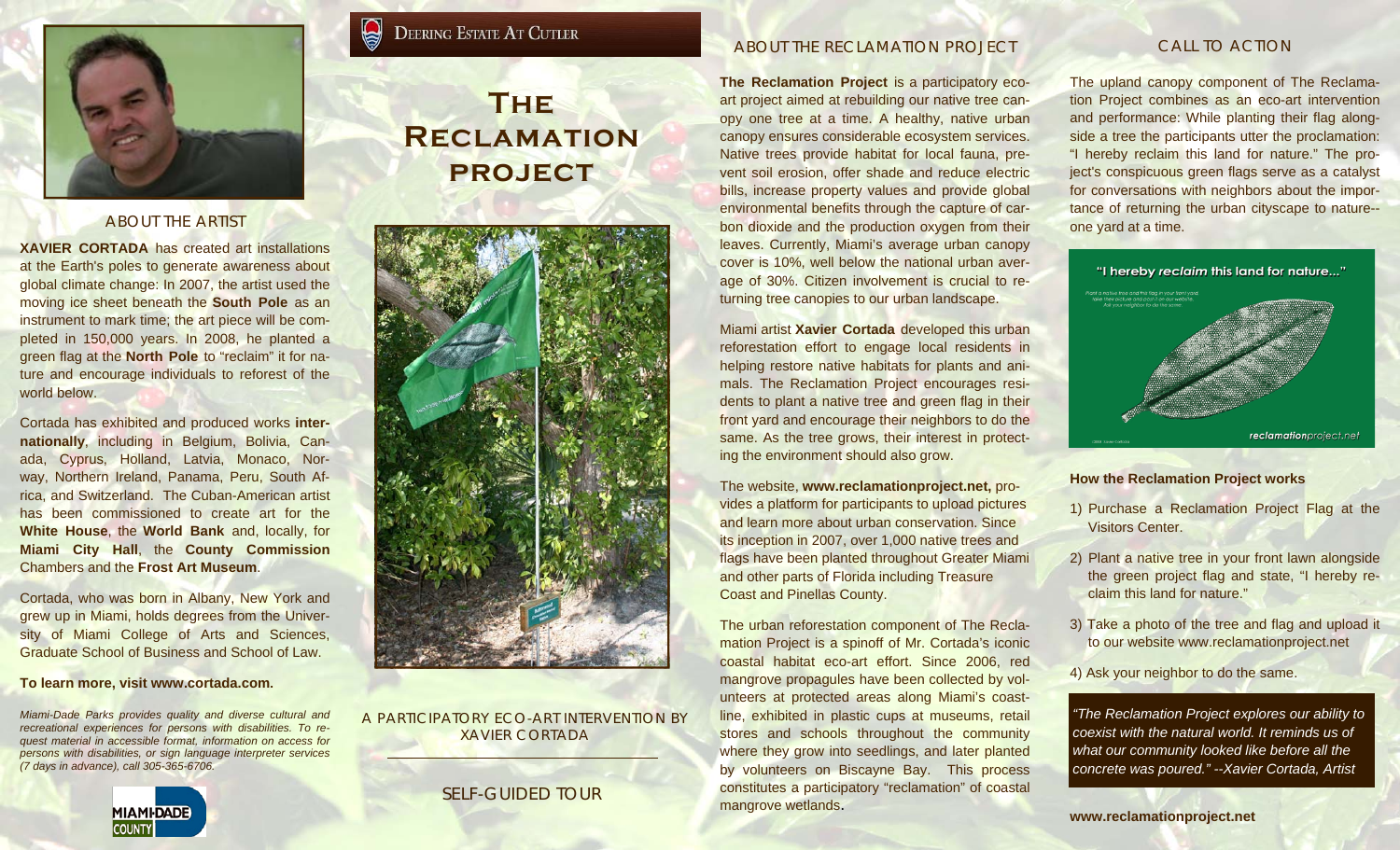

## ABOUT THE ARTIST

**XAVIER CORTADA** has created art installations at the Earth's poles to generate awareness about global climate change: In 2007, the artist used the moving ice sheet beneath the **South Pole** as an instrument to mark time; the art piece will be completed in 150,000 years. In 2008, he planted a green flag at the **North Pole** to "reclaim" it for nature and encourage individuals to reforest of the world below.

Cortada has exhibited and produced works **internationally**, including in Belgium, Bolivia, Canada, Cyprus, Holland, Latvia, Monaco, Norway, Northern Ireland, Panama, Peru, South Africa, and Switzerland. The Cuban-American artist has been commissioned to create art for the **White House**, the **World Bank** and, locally, for **Miami City Hall**, the **County Commission**  Chambers and the **Frost Art Museum**.

Cortada, who was born in Albany, New York and grew up in Miami, holds degrees from the University of Miami College of Arts and Sciences, Graduate School of Business and School of Law.

#### **To learn more, visit www.cortada.com.**

*Miami-Dade Parks provides quality and diverse cultural and recreational experiences for persons with disabilities. To request material in accessible format, information on access for persons with disabilities, or sign language interpreter services (7 days in advance), call 305-365-6706.*

# **MIAMI-DADE COUNTY**

# **The Reclamation**

**DEERING ESTATE AT CUTLER** 

**project** 



A PARTICIPATORY ECO-ART INTERVENTION BY XAVIER CORTADA

# SELF-GUIDED TOUR

## ABOUT THE RECLAMATION PROJECT

**The Reclamation Project** is a participatory ecoart project aimed at rebuilding our native tree canopy one tree at a time. A healthy, native urban canopy ensures considerable ecosystem services. Native trees provide habitat for local fauna, prevent soil erosion, offer shade and reduce electric bills, increase property values and provide global environmental benefits through the capture of carbon dioxide and the production oxygen from their leaves. Currently, Miami's average urban canopy cover is 10%, well below the national urban average of 30%. Citizen involvement is crucial to returning tree canopies to our urban landscape.

Miami artist **Xavier Cortada** developed this urban reforestation effort to engage local residents in helping restore native habitats for plants and animals. The Reclamation Project encourages residents to plant a native tree and green flag in their front yard and encourage their neighbors to do the same. As the tree grows, their interest in protecting the environment should also grow.

The website, **www.reclamationproject.net,** provides a platform for participants to upload pictures and learn more about urban conservation. Since its inception in 2007, over 1,000 native trees and flags have been planted throughout Greater Miami and other parts of Florida including Treasure Coast and Pinellas County.

The urban reforestation component of The Reclamation Project is a spinoff of Mr. Cortada's iconic coastal habitat eco-art effort. Since 2006, red mangrove propagules have been collected by volunteers at protected areas along Miami's coastline, exhibited in plastic cups at museums, retail stores and schools throughout the community where they grow into seedlings, and later planted by volunteers on Biscayne Bay. This process constitutes a participatory "reclamation" of coastal mangrove wetlands.

# CALL TO ACTION

The upland canopy component of The Reclamation Project combines as an eco-art intervention and performance: While planting their flag alongside a tree the participants utter the proclamation: "I hereby reclaim this land for nature." The project's conspicuous green flags serve as a catalyst for conversations with neighbors about the importance of returning the urban cityscape to nature- one yard at a time.



### **How the Reclamation Project works**

- 1) Purchase a Reclamation Project Flag at the Visitors Center.
- 2) Plant a native tree in your front lawn alongside the green project flag and state, "I hereby reclaim this land for nature."
- 3) Take a photo of the tree and flag and upload it to our website www.reclamationproject.net

4) Ask your neighbor to do the same.

*"The Reclamation Project explores our ability to coexist with the natural world. It reminds us of what our community looked like before all the concrete was poured." --Xavier Cortada, Artist* 

**www.reclamationproject.net**